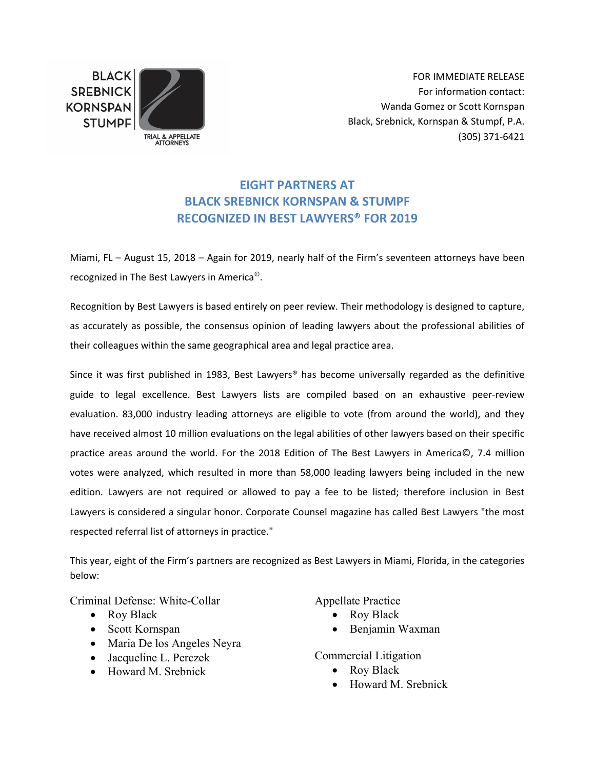**BLACK SREBNICK KORNSPAN STUMPF** 



FOR IMMEDIATE RELEASE For information contact: Wanda Gomez or Scott Kornspan Black, Srebnick, Kornspan & Stumpf, P.A. (305) 371‐6421

## **EIGHT PARTNERS AT BLACK SREBNICK KORNSPAN & STUMPF RECOGNIZED IN BEST LAWYERS® FOR 2019**

Miami, FL – August 15, 2018 – Again for 2019, nearly half of the Firm's seventeen attorneys have been recognized in The Best Lawyers in America©.

Recognition by Best Lawyers is based entirely on peer review. Their methodology is designed to capture, as accurately as possible, the consensus opinion of leading lawyers about the professional abilities of their colleagues within the same geographical area and legal practice area.

Since it was first published in 1983, Best Lawyers<sup>®</sup> has become universally regarded as the definitive guide to legal excellence. Best Lawyers lists are compiled based on an exhaustive peer‐review evaluation. 83,000 industry leading attorneys are eligible to vote (from around the world), and they have received almost 10 million evaluations on the legal abilities of other lawyers based on their specific practice areas around the world. For the 2018 Edition of The Best Lawyers in America©, 7.4 million votes were analyzed, which resulted in more than 58,000 leading lawyers being included in the new edition. Lawyers are not required or allowed to pay a fee to be listed; therefore inclusion in Best Lawyers is considered a singular honor. Corporate Counsel magazine has called Best Lawyers "the most respected referral list of attorneys in practice."

This year, eight of the Firm's partners are recognized as Best Lawyers in Miami, Florida, in the categories below:

Criminal Defense: White-Collar

- Roy Black
- Scott Kornspan
- Maria De los Angeles Neyra
- Jacqueline L. Perczek
- Howard M. Srebnick

Appellate Practice

- Roy Black
- Benjamin Waxman

Commercial Litigation

- Roy Black
- Howard M. Srebnick